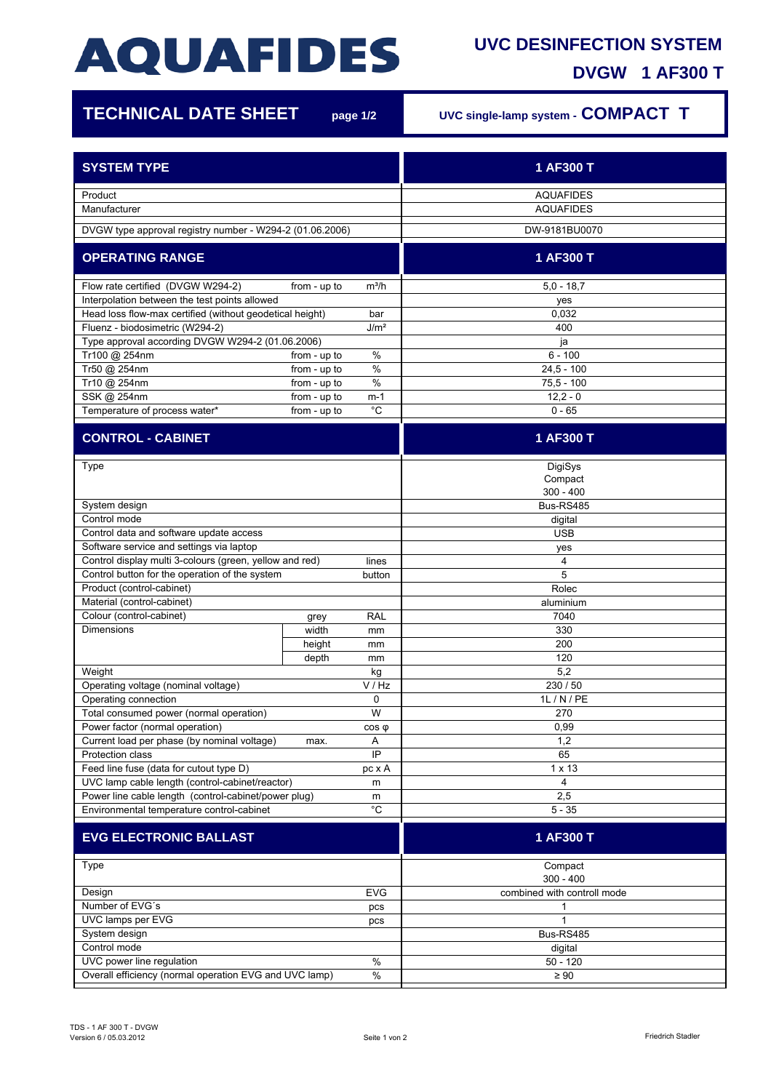## **AQUAFIDES**

## **UVC DESINFECTION SYSTEM**

**DVGW 1 AF300 T**

| <b>TECHNICAL DATE SHEET</b>                                                                                            |              | page 1/2                     | UVC single-lamp system - COMPACT T |
|------------------------------------------------------------------------------------------------------------------------|--------------|------------------------------|------------------------------------|
| <b>SYSTEM TYPE</b>                                                                                                     |              |                              | 1 AF300 T                          |
| Product                                                                                                                |              |                              | <b>AQUAFIDES</b>                   |
| Manufacturer                                                                                                           |              |                              | <b>AQUAFIDES</b>                   |
| DVGW type approval registry number - W294-2 (01.06.2006)                                                               |              |                              | DW-9181BU0070                      |
| <b>OPERATING RANGE</b>                                                                                                 |              |                              | 1 AF300 T                          |
| Flow rate certified (DVGW W294-2)                                                                                      | from - up to | $m^3/h$                      | $5,0 - 18,7$                       |
| Interpolation between the test points allowed                                                                          |              |                              | yes                                |
| Head loss flow-max certified (without geodetical height)<br>bar<br>Fluenz - biodosimetric (W294-2)<br>J/m <sup>2</sup> |              |                              | 0,032<br>400                       |
| Type approval according DVGW W294-2 (01.06.2006)                                                                       |              |                              | ja                                 |
| Tr100 @ 254nm                                                                                                          | from - up to | %                            | $6 - 100$                          |
| Tr50 @ 254nm                                                                                                           | from - up to | $\%$                         | $24,5 - 100$                       |
| Tr10 @ 254nm                                                                                                           | from - up to | $\%$                         | $75,5 - 100$                       |
| SSK @ 254nm                                                                                                            | from - up to | $m-1$                        | $12.2 - 0$                         |
| Temperature of process water*                                                                                          | from - up to | °C                           | $0 - 65$                           |
| <b>CONTROL - CABINET</b>                                                                                               |              |                              | 1 AF300 T                          |
| Type                                                                                                                   |              |                              | DigiSys                            |
|                                                                                                                        |              |                              | Compact                            |
|                                                                                                                        |              |                              | $300 - 400$                        |
| System design                                                                                                          |              |                              | Bus-RS485                          |
| Control mode                                                                                                           |              |                              | digital                            |
| Control data and software update access                                                                                |              |                              | <b>USB</b>                         |
| Software service and settings via laptop                                                                               |              |                              | yes                                |
| Control display multi 3-colours (green, yellow and red)<br>lines                                                       |              |                              | 4                                  |
| Control button for the operation of the system<br>button                                                               |              |                              | 5                                  |
| Product (control-cabinet)                                                                                              |              |                              | Rolec                              |
| Material (control-cabinet)                                                                                             |              |                              | aluminium                          |
| Colour (control-cabinet)                                                                                               | grey         | <b>RAL</b>                   | 7040                               |
| <b>Dimensions</b>                                                                                                      | width        | mm                           | 330                                |
|                                                                                                                        | height       | mm                           | 200                                |
|                                                                                                                        | depth        | mm                           | 120                                |
| Weight                                                                                                                 |              | kg                           | 5,2                                |
| Operating voltage (nominal voltage)                                                                                    |              | $\mathsf{V}$ / $\mathsf{Hz}$ | 230 / 50                           |
| Operating connection                                                                                                   |              | 0                            | 1L / N / PE                        |
| Total consumed power (normal operation)                                                                                |              | W                            | 270                                |
| Power factor (normal operation)                                                                                        |              | $cos \phi$                   | 0,99                               |
| Current load per phase (by nominal voltage)                                                                            | max.         | Α                            | 1,2                                |
| Protection class<br>IP<br>Feed line fuse (data for cutout type D)                                                      |              |                              | 65<br>$1 \times 13$                |
|                                                                                                                        |              | pc x A                       | 4                                  |
| UVC lamp cable length (control-cabinet/reactor)<br>m<br>Power line cable length (control-cabinet/power plug)           |              |                              | 2,5                                |
| Environmental temperature control-cabinet                                                                              |              | m<br>$^{\circ}C$             | $5 - 35$                           |
|                                                                                                                        |              |                              |                                    |
| <b>EVG ELECTRONIC BALLAST</b>                                                                                          |              |                              | 1 AF300 T                          |
| Type                                                                                                                   |              |                              | Compact<br>$300 - 400$             |
| Design<br><b>EVG</b>                                                                                                   |              |                              | combined with controll mode        |
| Number of EVG's                                                                                                        |              |                              | 1                                  |
| pcs<br>UVC lamps per EVG                                                                                               |              |                              | $\mathbf{1}$                       |
| pcs<br>System design                                                                                                   |              |                              | Bus-RS485                          |
| Control mode                                                                                                           |              |                              | digital                            |
| $\%$<br>UVC power line regulation                                                                                      |              |                              | $50 - 120$                         |
| Overall efficiency (normal operation EVG and UVC lamp)<br>$\%$                                                         |              |                              | $\geq 90$                          |
|                                                                                                                        |              |                              |                                    |